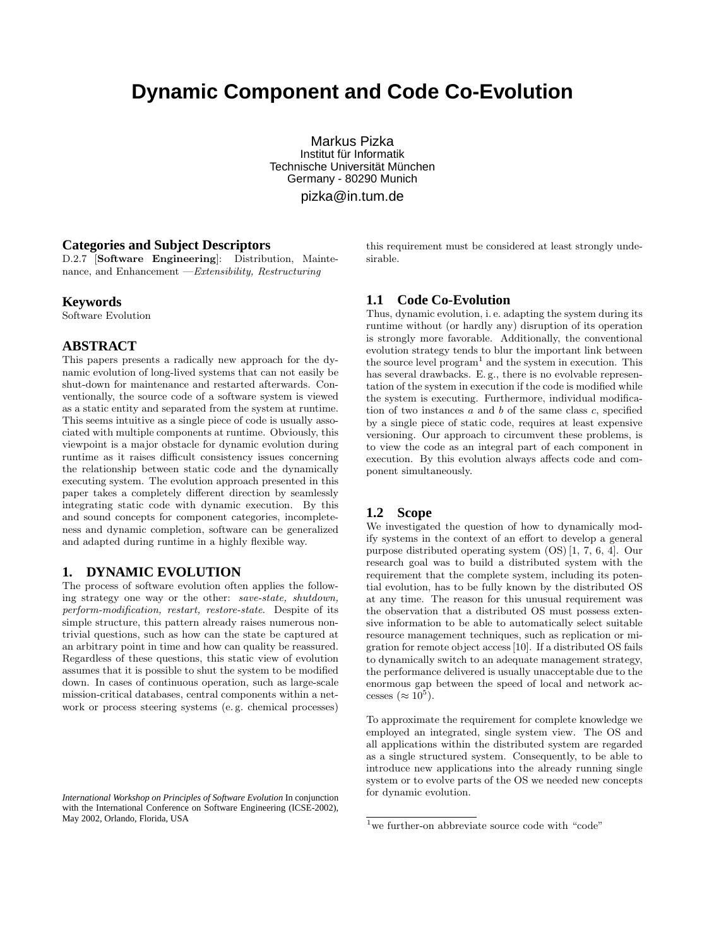# **Dynamic Component and Code Co-Evolution**

Markus Pizka Institut für Informatik Technische Universität München Germany - 80290 Munich

pizka@in.tum.de

# **Categories and Subject Descriptors**

D.2.7 [Software Engineering]: Distribution, Maintenance, and Enhancement —Extensibility, Restructuring

#### **Keywords**

Software Evolution

# **ABSTRACT**

This papers presents a radically new approach for the dynamic evolution of long-lived systems that can not easily be shut-down for maintenance and restarted afterwards. Conventionally, the source code of a software system is viewed as a static entity and separated from the system at runtime. This seems intuitive as a single piece of code is usually associated with multiple components at runtime. Obviously, this viewpoint is a major obstacle for dynamic evolution during runtime as it raises difficult consistency issues concerning the relationship between static code and the dynamically executing system. The evolution approach presented in this paper takes a completely different direction by seamlessly integrating static code with dynamic execution. By this and sound concepts for component categories, incompleteness and dynamic completion, software can be generalized and adapted during runtime in a highly flexible way.

# **1. DYNAMIC EVOLUTION**

The process of software evolution often applies the following strategy one way or the other: save-state, shutdown, perform-modification, restart, restore-state. Despite of its simple structure, this pattern already raises numerous nontrivial questions, such as how can the state be captured at an arbitrary point in time and how can quality be reassured. Regardless of these questions, this static view of evolution assumes that it is possible to shut the system to be modified down. In cases of continuous operation, such as large-scale mission-critical databases, central components within a network or process steering systems (e. g. chemical processes) this requirement must be considered at least strongly undesirable.

# **1.1 Code Co-Evolution**

Thus, dynamic evolution, i. e. adapting the system during its runtime without (or hardly any) disruption of its operation is strongly more favorable. Additionally, the conventional evolution strategy tends to blur the important link between the source level  $\text{program}^1$  and the system in execution. This has several drawbacks. E. g., there is no evolvable representation of the system in execution if the code is modified while the system is executing. Furthermore, individual modification of two instances  $a$  and  $b$  of the same class  $c$ , specified by a single piece of static code, requires at least expensive versioning. Our approach to circumvent these problems, is to view the code as an integral part of each component in execution. By this evolution always affects code and component simultaneously.

# **1.2 Scope**

We investigated the question of how to dynamically modify systems in the context of an effort to develop a general purpose distributed operating system (OS) [1, 7, 6, 4]. Our research goal was to build a distributed system with the requirement that the complete system, including its potential evolution, has to be fully known by the distributed OS at any time. The reason for this unusual requirement was the observation that a distributed OS must possess extensive information to be able to automatically select suitable resource management techniques, such as replication or migration for remote object access [10]. If a distributed OS fails to dynamically switch to an adequate management strategy, the performance delivered is usually unacceptable due to the enormous gap between the speed of local and network accesses ( $\approx 10^5$ ).

To approximate the requirement for complete knowledge we employed an integrated, single system view. The OS and all applications within the distributed system are regarded as a single structured system. Consequently, to be able to introduce new applications into the already running single system or to evolve parts of the OS we needed new concepts for dynamic evolution.

*International Workshop on Principles of Software Evolution* In conjunction with the International Conference on Software Engineering (ICSE-2002), May 2002, Orlando, Florida, USA

 $1$  we further-on abbreviate source code with "code"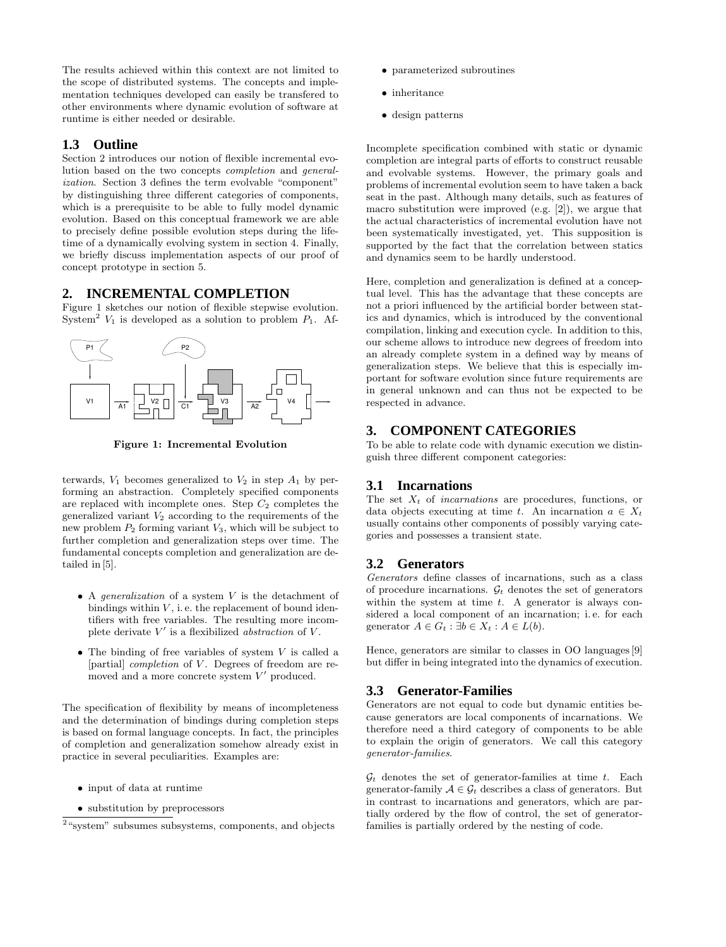The results achieved within this context are not limited to the scope of distributed systems. The concepts and implementation techniques developed can easily be transfered to other environments where dynamic evolution of software at runtime is either needed or desirable.

# **1.3 Outline**

Section 2 introduces our notion of flexible incremental evolution based on the two concepts completion and generalization. Section 3 defines the term evolvable "component" by distinguishing three different categories of components, which is a prerequisite to be able to fully model dynamic evolution. Based on this conceptual framework we are able to precisely define possible evolution steps during the lifetime of a dynamically evolving system in section 4. Finally, we briefly discuss implementation aspects of our proof of concept prototype in section 5.

# **2. INCREMENTAL COMPLETION**

Figure 1 sketches our notion of flexible stepwise evolution. System<sup>2</sup>  $V_1$  is developed as a solution to problem  $P_1$ . Af-



Figure 1: Incremental Evolution

terwards,  $V_1$  becomes generalized to  $V_2$  in step  $A_1$  by performing an abstraction. Completely specified components are replaced with incomplete ones. Step  $C_2$  completes the generalized variant  $V_2$  according to the requirements of the new problem  $P_2$  forming variant  $V_3$ , which will be subject to further completion and generalization steps over time. The fundamental concepts completion and generalization are detailed in [5].

- A *generalization* of a system  $V$  is the detachment of bindings within  $V$ , i.e. the replacement of bound identifiers with free variables. The resulting more incomplete derivate  $V'$  is a flexibilized *abstraction* of  $V$ .
- The binding of free variables of system  $V$  is called a [partial] *completion* of V. Degrees of freedom are removed and a more concrete system  $V'$  produced.

The specification of flexibility by means of incompleteness and the determination of bindings during completion steps is based on formal language concepts. In fact, the principles of completion and generalization somehow already exist in practice in several peculiarities. Examples are:

- input of data at runtime
- substitution by preprocessors
- parameterized subroutines
- inheritance
- design patterns

Incomplete specification combined with static or dynamic completion are integral parts of efforts to construct reusable and evolvable systems. However, the primary goals and problems of incremental evolution seem to have taken a back seat in the past. Although many details, such as features of macro substitution were improved (e.g. [2]), we argue that the actual characteristics of incremental evolution have not been systematically investigated, yet. This supposition is supported by the fact that the correlation between statics and dynamics seem to be hardly understood.

Here, completion and generalization is defined at a conceptual level. This has the advantage that these concepts are not a priori influenced by the artificial border between statics and dynamics, which is introduced by the conventional compilation, linking and execution cycle. In addition to this, our scheme allows to introduce new degrees of freedom into an already complete system in a defined way by means of generalization steps. We believe that this is especially important for software evolution since future requirements are in general unknown and can thus not be expected to be respected in advance.

# **3. COMPONENT CATEGORIES**

To be able to relate code with dynamic execution we distinguish three different component categories:

# **3.1 Incarnations**

The set  $X_t$  of incarnations are procedures, functions, or data objects executing at time t. An incarnation  $a \in X_t$ usually contains other components of possibly varying categories and possesses a transient state.

# **3.2 Generators**

Generators define classes of incarnations, such as a class of procedure incarnations.  $\mathcal{G}_t$  denotes the set of generators within the system at time  $t$ . A generator is always considered a local component of an incarnation; i. e. for each generator  $A \in G_t : \exists b \in X_t : A \in L(b).$ 

Hence, generators are similar to classes in OO languages [9] but differ in being integrated into the dynamics of execution.

# **3.3 Generator-Families**

Generators are not equal to code but dynamic entities because generators are local components of incarnations. We therefore need a third category of components to be able to explain the origin of generators. We call this category generator-families.

 $\mathcal{G}_t$  denotes the set of generator-families at time t. Each generator-family  $A \in \mathcal{G}_t$  describes a class of generators. But in contrast to incarnations and generators, which are partially ordered by the flow of control, the set of generatorfamilies is partially ordered by the nesting of code.

<sup>&</sup>lt;sup>2</sup> "system" subsumes subsystems, components, and objects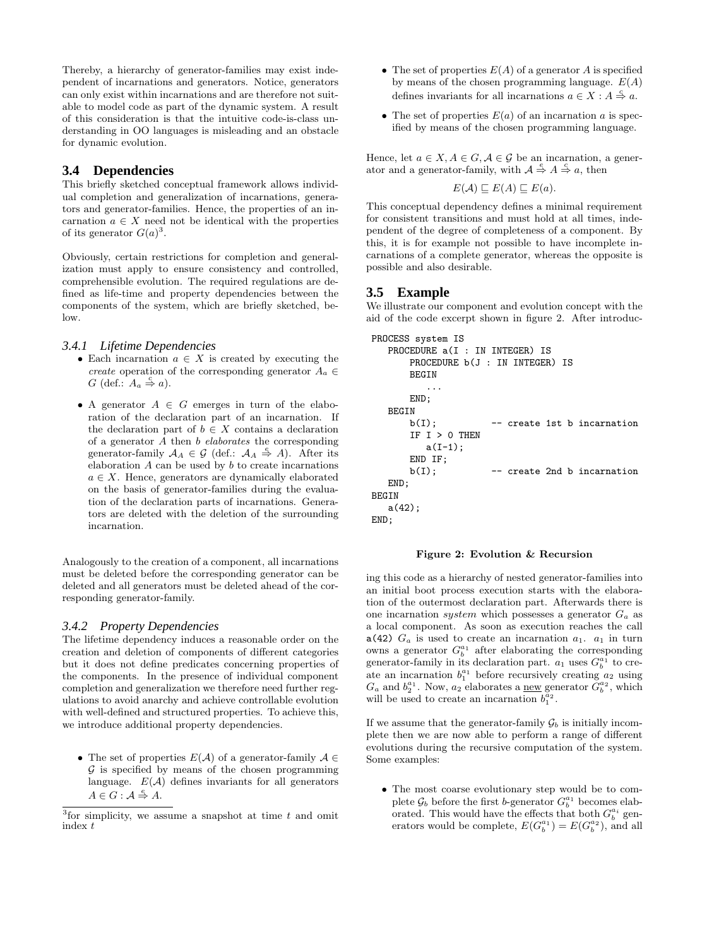Thereby, a hierarchy of generator-families may exist independent of incarnations and generators. Notice, generators can only exist within incarnations and are therefore not suitable to model code as part of the dynamic system. A result of this consideration is that the intuitive code-is-class understanding in OO languages is misleading and an obstacle for dynamic evolution.

# **3.4 Dependencies**

This briefly sketched conceptual framework allows individual completion and generalization of incarnations, generators and generator-families. Hence, the properties of an incarnation  $a \in X$  need not be identical with the properties of its generator  $G(a)^3$ .

Obviously, certain restrictions for completion and generalization must apply to ensure consistency and controlled, comprehensible evolution. The required regulations are defined as life-time and property dependencies between the components of the system, which are briefly sketched, below.

#### *3.4.1 Lifetime Dependencies*

- Each incarnation  $a \in X$  is created by executing the create operation of the corresponding generator  $A_a \in$  $G$  (def.:  $A_a \triangleq a$ ).
- A generator  $A \in G$  emerges in turn of the elaboration of the declaration part of an incarnation. If the declaration part of  $b \in X$  contains a declaration of a generator A then b elaborates the corresponding generator-family  $A_A \in \mathcal{G}$  (def.:  $A_A \stackrel{e}{\Rightarrow} A$ ). After its elaboration  $A$  can be used by  $b$  to create incarnations  $a \in X$ . Hence, generators are dynamically elaborated on the basis of generator-families during the evaluation of the declaration parts of incarnations. Generators are deleted with the deletion of the surrounding incarnation.

Analogously to the creation of a component, all incarnations must be deleted before the corresponding generator can be deleted and all generators must be deleted ahead of the corresponding generator-family.

#### *3.4.2 Property Dependencies*

The lifetime dependency induces a reasonable order on the creation and deletion of components of different categories but it does not define predicates concerning properties of the components. In the presence of individual component completion and generalization we therefore need further regulations to avoid anarchy and achieve controllable evolution with well-defined and structured properties. To achieve this, we introduce additional property dependencies.

• The set of properties  $E(\mathcal{A})$  of a generator-family  $\mathcal{A} \in$  $G$  is specified by means of the chosen programming language.  $E(\mathcal{A})$  defines invariants for all generators  $A \in G : \mathcal{A} \stackrel{e}{\Rightarrow} A.$ 

- The set of properties  $E(A)$  of a generator A is specified by means of the chosen programming language.  $E(A)$ defines invariants for all incarnations  $a \in X : A \stackrel{c}{\Rightarrow} a$ .
- The set of properties  $E(a)$  of an incarnation a is specified by means of the chosen programming language.

Hence, let  $a \in X$ ,  $A \in G$ ,  $A \in \mathcal{G}$  be an incarnation, a generator and a generator-family, with  $\mathcal{A} \stackrel{e}{\Rightarrow} A \stackrel{c}{\Rightarrow} a$ , then

$$
E(\mathcal{A}) \sqsubseteq E(A) \sqsubseteq E(a).
$$

This conceptual dependency defines a minimal requirement for consistent transitions and must hold at all times, independent of the degree of completeness of a component. By this, it is for example not possible to have incomplete incarnations of a complete generator, whereas the opposite is possible and also desirable.

### **3.5 Example**

We illustrate our component and evolution concept with the aid of the code excerpt shown in figure 2. After introduc-

```
PROCESS system IS
   PROCEDURE a(I : IN INTEGR) IS
      PROCEDURE b(J : IN INTEGER) IS
      BEGIN
          ...
      END;
   BEGIN
      b(I); -- create 1st b incarnation
      IF I > 0 THEN
         a(I-1);END IF;
      b(I); -- create 2nd b incarnation
   END;
BEGIN
   a(42);
END;
```
#### Figure 2: Evolution & Recursion

ing this code as a hierarchy of nested generator-families into an initial boot process execution starts with the elaboration of the outermost declaration part. Afterwards there is one incarnation *system* which possesses a generator  $G_a$  as a local component. As soon as execution reaches the call a(42)  $G_a$  is used to create an incarnation  $a_1$ .  $a_1$  in turn owns a generator  $G_b^{a_1}$  after elaborating the corresponding generator-family in its declaration part.  $a_1$  uses  $G_b^{a_1}$  to create an incarnation  $b_1^{a_1}$  before recursively creating  $a_2$  using  $G_a$  and  $b_2^{a_1}$ . Now,  $a_2$  elaborates a <u>new</u> generator  $G_b^{a_2}$ , which will be used to create an incarnation  $b_1^{\bar{a}_2}$ .

If we assume that the generator-family  $G_b$  is initially incomplete then we are now able to perform a range of different evolutions during the recursive computation of the system. Some examples:

• The most coarse evolutionary step would be to complete  $\mathcal{G}_b$  before the first b-generator  $G_b^{a_1}$  becomes elaborated. This would have the effects that both  $G_b^{a_i}$  generators would be complete,  $E(G_b^{a_1}) = E(G_b^{a_2})$ , and all

 $3$  for simplicity, we assume a snapshot at time t and omit index t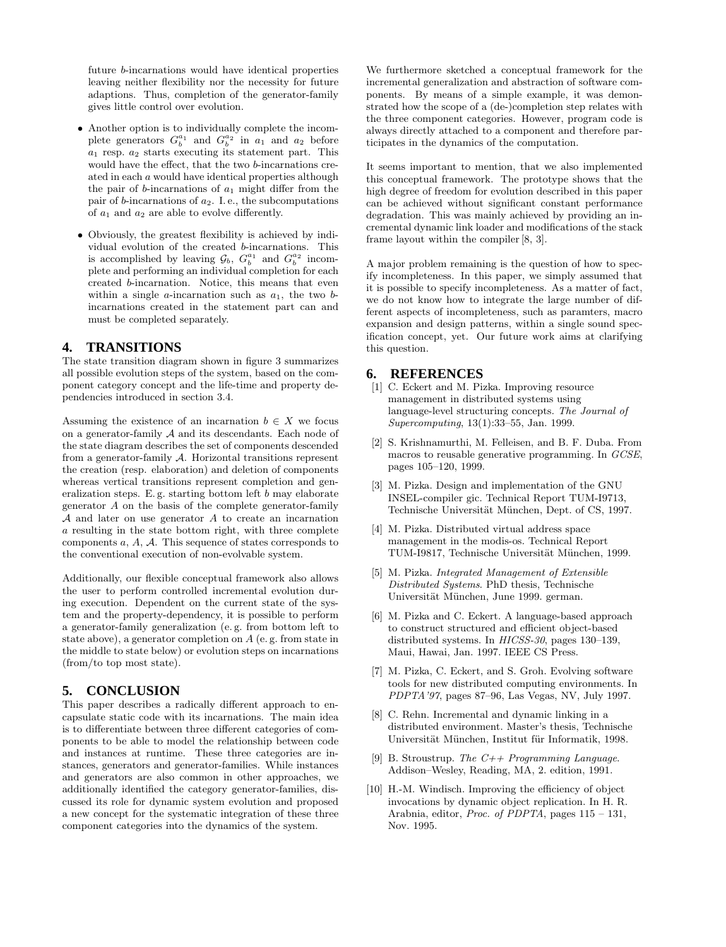future b-incarnations would have identical properties leaving neither flexibility nor the necessity for future adaptions. Thus, completion of the generator-family gives little control over evolution.

- Another option is to individually complete the incomplete generators  $G_b^{a_1}$  and  $G_b^{a_2}$  in  $a_1$  and  $a_2$  before  $a_1$  resp.  $a_2$  starts executing its statement part. This would have the effect, that the two b-incarnations created in each a would have identical properties although the pair of b-incarnations of  $a_1$  might differ from the pair of b-incarnations of  $a_2$ . I. e., the subcomputations of  $a_1$  and  $a_2$  are able to evolve differently.
- Obviously, the greatest flexibility is achieved by individual evolution of the created b-incarnations. This is accomplished by leaving  $\mathcal{G}_b$ ,  $G_b^{a_1}$  and  $G_b^{a_2}$  incomplete and performing an individual completion for each created b-incarnation. Notice, this means that even within a single  $a$ -incarnation such as  $a_1$ , the two  $b$ incarnations created in the statement part can and must be completed separately.

# **4. TRANSITIONS**

The state transition diagram shown in figure 3 summarizes all possible evolution steps of the system, based on the component category concept and the life-time and property dependencies introduced in section 3.4.

Assuming the existence of an incarnation  $b \in X$  we focus on a generator-family A and its descendants. Each node of the state diagram describes the set of components descended from a generator-family A. Horizontal transitions represent the creation (resp. elaboration) and deletion of components whereas vertical transitions represent completion and generalization steps. E. g. starting bottom left  $b$  may elaborate generator A on the basis of the complete generator-family A and later on use generator A to create an incarnation a resulting in the state bottom right, with three complete components  $a, A, A$ . This sequence of states corresponds to the conventional execution of non-evolvable system.

Additionally, our flexible conceptual framework also allows the user to perform controlled incremental evolution during execution. Dependent on the current state of the system and the property-dependency, it is possible to perform a generator-family generalization (e. g. from bottom left to state above), a generator completion on A (e. g. from state in the middle to state below) or evolution steps on incarnations (from/to top most state).

# **5. CONCLUSION**

This paper describes a radically different approach to encapsulate static code with its incarnations. The main idea is to differentiate between three different categories of components to be able to model the relationship between code and instances at runtime. These three categories are instances, generators and generator-families. While instances and generators are also common in other approaches, we additionally identified the category generator-families, discussed its role for dynamic system evolution and proposed a new concept for the systematic integration of these three component categories into the dynamics of the system.

We furthermore sketched a conceptual framework for the incremental generalization and abstraction of software components. By means of a simple example, it was demonstrated how the scope of a (de-)completion step relates with the three component categories. However, program code is always directly attached to a component and therefore participates in the dynamics of the computation.

It seems important to mention, that we also implemented this conceptual framework. The prototype shows that the high degree of freedom for evolution described in this paper can be achieved without significant constant performance degradation. This was mainly achieved by providing an incremental dynamic link loader and modifications of the stack frame layout within the compiler [8, 3].

A major problem remaining is the question of how to specify incompleteness. In this paper, we simply assumed that it is possible to specify incompleteness. As a matter of fact, we do not know how to integrate the large number of different aspects of incompleteness, such as paramters, macro expansion and design patterns, within a single sound specification concept, yet. Our future work aims at clarifying this question.

#### **6. REFERENCES**

- [1] C. Eckert and M. Pizka. Improving resource management in distributed systems using language-level structuring concepts. The Journal of Supercomputing, 13(1):33–55, Jan. 1999.
- [2] S. Krishnamurthi, M. Felleisen, and B. F. Duba. From macros to reusable generative programming. In GCSE, pages 105–120, 1999.
- [3] M. Pizka. Design and implementation of the GNU INSEL-compiler gic. Technical Report TUM-I9713, Technische Universität München, Dept. of CS, 1997.
- [4] M. Pizka. Distributed virtual address space management in the modis-os. Technical Report TUM-I9817, Technische Universität München, 1999.
- [5] M. Pizka. Integrated Management of Extensible Distributed Systems. PhD thesis, Technische Universität München, June 1999. german.
- [6] M. Pizka and C. Eckert. A language-based approach to construct structured and efficient object-based distributed systems. In HICSS-30, pages 130–139, Maui, Hawai, Jan. 1997. IEEE CS Press.
- [7] M. Pizka, C. Eckert, and S. Groh. Evolving software tools for new distributed computing environments. In PDPTA'97, pages 87–96, Las Vegas, NV, July 1997.
- [8] C. Rehn. Incremental and dynamic linking in a distributed environment. Master's thesis, Technische Universität München, Institut für Informatik, 1998.
- [9] B. Stroustrup. The  $C++$  Programming Language. Addison–Wesley, Reading, MA, 2. edition, 1991.
- [10] H.-M. Windisch. Improving the efficiency of object invocations by dynamic object replication. In H. R. Arabnia, editor, Proc. of PDPTA, pages 115 – 131, Nov. 1995.